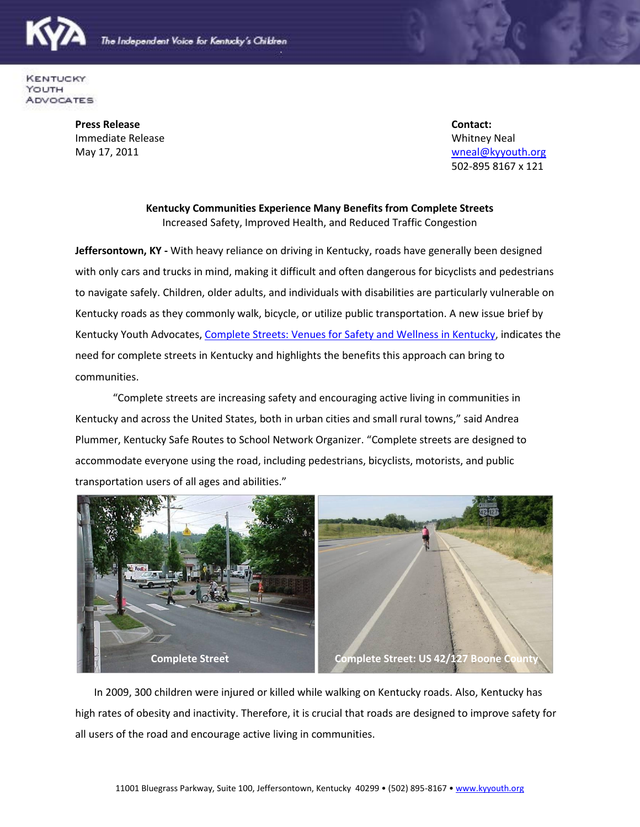



**KENTUCKY** YOUTH **ADVOCATES** 

> **Press Release Contact: Immediate Release Neal Accord Contract Contract Contract Contract Contract Contract Contract Contract Contract Contract Contract Contract Contract Contract Contract Contract Contract Contract Contract Contract Contract Co**

May 17, 2011 **WebSite 2018** May 17, 2011 **where** the control of the control of the control of the control of the control of the control of the control of the control of the control of the control of the control of the cont 502-895 8167 x 121

## **Kentucky Communities Experience Many Benefits from Complete Streets** Increased Safety, Improved Health, and Reduced Traffic Congestion

**Jeffersontown, KY -** With heavy reliance on driving in Kentucky, roads have generally been designed with only cars and trucks in mind, making it difficult and often dangerous for bicyclists and pedestrians to navigate safely. Children, older adults, and individuals with disabilities are particularly vulnerable on Kentucky roads as they commonly walk, bicycle, or utilize public transportation. A new issue brief by Kentucky Youth Advocates, [Complete Streets: Venues for Safety and Wellness in Kentucky,](file:///C:/Users/xwn1/Documents/Complete%20Streets:%20Venues%20for%20Safety%20and%20Wellness%20in%20Kentucky) indicates the need for complete streets in Kentucky and highlights the benefits this approach can bring to communities.

"Complete streets are increasing safety and encouraging active living in communities in Kentucky and across the United States, both in urban cities and small rural towns," said Andrea Plummer, Kentucky Safe Routes to School Network Organizer. "Complete streets are designed to accommodate everyone using the road, including pedestrians, bicyclists, motorists, and public transportation users of all ages and abilities."



In 2009, 300 children were injured or killed while walking on Kentucky roads. Also, Kentucky has high rates of obesity and inactivity. Therefore, it is crucial that roads are designed to improve safety for all users of the road and encourage active living in communities.